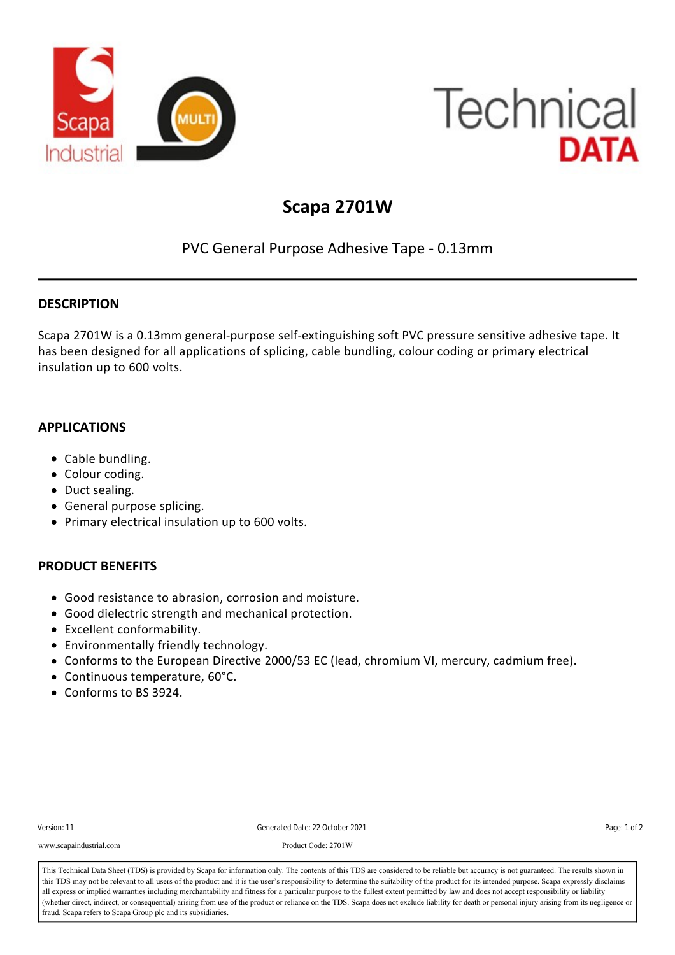

# **Technical DATA**

## **Scapa 2701W**

### PVC General Purpose Adhesive Tape ‐ 0.13mm

#### **DESCRIPTION**

Scapa 2701W is a 0.13mm general‐purpose self‐extinguishing soft PVC pressure sensitive adhesive tape. It has been designed for all applications of splicing, cable bundling, colour coding or primary electrical insulation up to 600 volts.

#### **APPLICATIONS**

- Cable bundling.
- Colour coding.
- Duct sealing.
- General purpose splicing.
- Primary electrical insulation up to 600 volts.

#### **PRODUCT BENEFITS**

- Good resistance to abrasion, corrosion and moisture.
- Good dielectric strength and mechanical protection.
- Excellent conformability.
- Environmentally friendly technology.
- Conforms to the European Directive 2000/53 EC (lead, chromium VI, mercury, cadmium free).
- Continuous temperature, 60°C.
- Conforms to BS 3924.

**STANDARD PRESENTATIONS**

| Version: 11 |  |
|-------------|--|
|-------------|--|

elongation at Break 150 % Cenerated Date: 22 October 2021<br>Page: 1 of 2

Adhesion to Stephen Code: 2701W<br>Product Code: 2701W www.scapaindustrial.com Product Code: 2701W

This Technical Data Sheet (TDS) is provided by Scapa for information only. The contents of this TDS are considered to be reliable but accuracy is not guaranteed. The results shown in This reculinear Data Sheet (1DS) is provided by Scapa for information only. The contents of this 1DS are considered to be renable but accuracy is not guaranteed. The results shown in<br>this TDS may not be relevant to all use all express or implied warranties including merchantability and fitness for a particular purpose to the fullest extent permitted by law and does not accept responsibility or liability<br>(what is direct indicate a concernatio (whether direct, indirect, or consequential) arising from use of the product or reliance on the TDS. Scapa does not exclude liability for death or personal injury arising from its negligence or fraud. Scapa refers to Scapa Group plc and its subsidiaries.